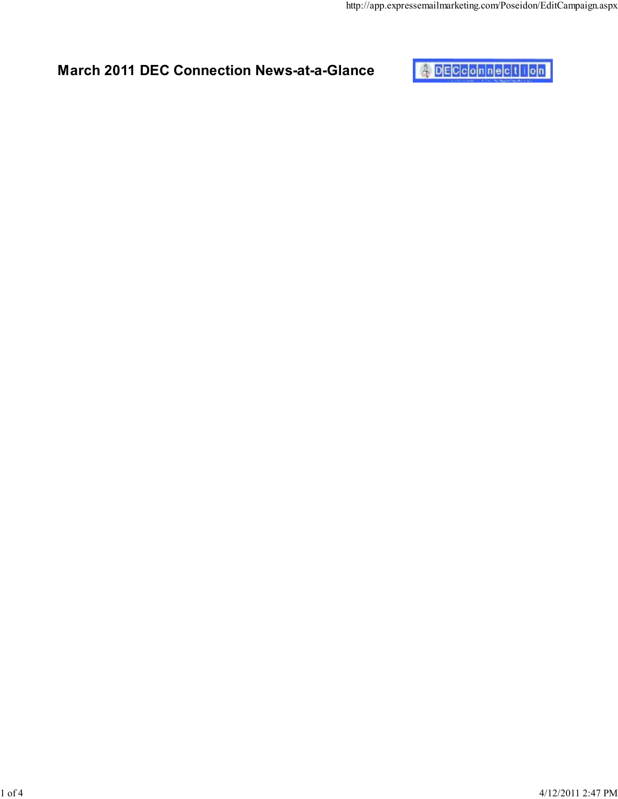

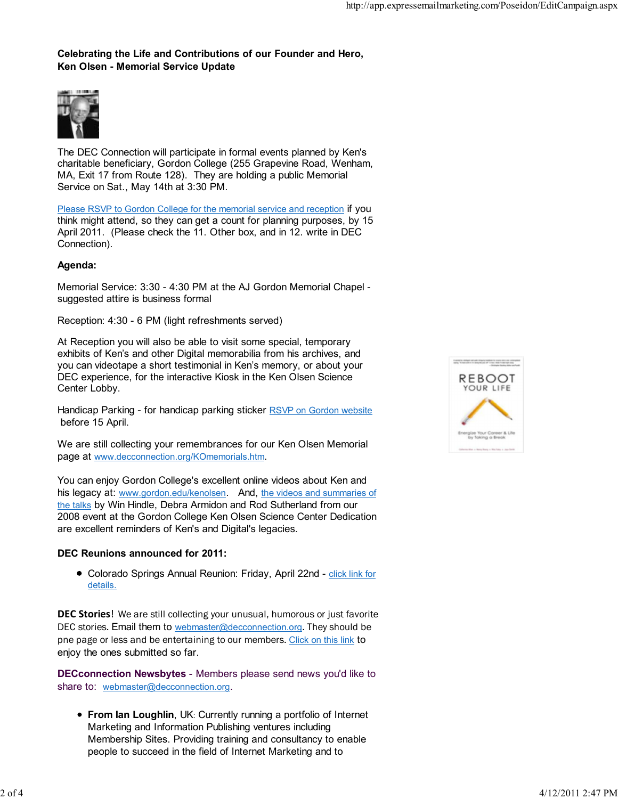## Celebrating the Life and Contributions of our Founder and Hero, Ken Olsen - Memorial Service Update



The DEC Connection will participate in formal events planned by Ken's charitable beneficiary, Gordon College (255 Grapevine Road, Wenham, MA, Exit 17 from Route 128). They are holding a public Memorial Service on Sat., May 14th at 3:30 PM.

Please RSVP to Gordon College for the memorial service and reception if you think might attend, so they can get a count for planning purposes, by 15 April 2011. (Please check the 11. Other box, and in 12. write in DEC Connection).

### Agenda:

Memorial Service: 3:30 - 4:30 PM at the AJ Gordon Memorial Chapel suggested attire is business formal

Reception: 4:30 - 6 PM (light refreshments served)

At Reception you will also be able to visit some special, temporary exhibits of Ken's and other Digital memorabilia from his archives, and you can videotape a short testimonial in Ken's memory, or about your DEC experience, for the interactive Kiosk in the Ken Olsen Science Center Lobby.

Handicap Parking - for handicap parking sticker RSVP on Gordon website before 15 April.

We are still collecting your remembrances for our Ken Olsen Memorial page at www.decconnection.org/KOmemorials.htm.

You can enjoy Gordon College's excellent online videos about Ken and his legacy at: www.gordon.edu/kenolsen. And, the videos and summaries of the talks by Win Hindle, Debra Armidon and Rod Sutherland from our 2008 event at the Gordon College Ken Olsen Science Center Dedication are excellent reminders of Ken's and Digital's legacies.

### DEC Reunions announced for 2011:

Colorado Springs Annual Reunion: Friday, April 22nd - click link for details.

DEC Stories! We are still collecting your unusual, humorous or just favorite DEC stories. Email them to webmaster@decconnection.org. They should be pne page or less and be entertaining to our members. Click on this link to enjoy the ones submitted so far.

DECconnection Newsbytes - Members please send news you'd like to share to: webmaster@decconnection.org.

• From Ian Loughlin, UK: Currently running a portfolio of Internet Marketing and Information Publishing ventures including Membership Sites. Providing training and consultancy to enable people to succeed in the field of Internet Marketing and to

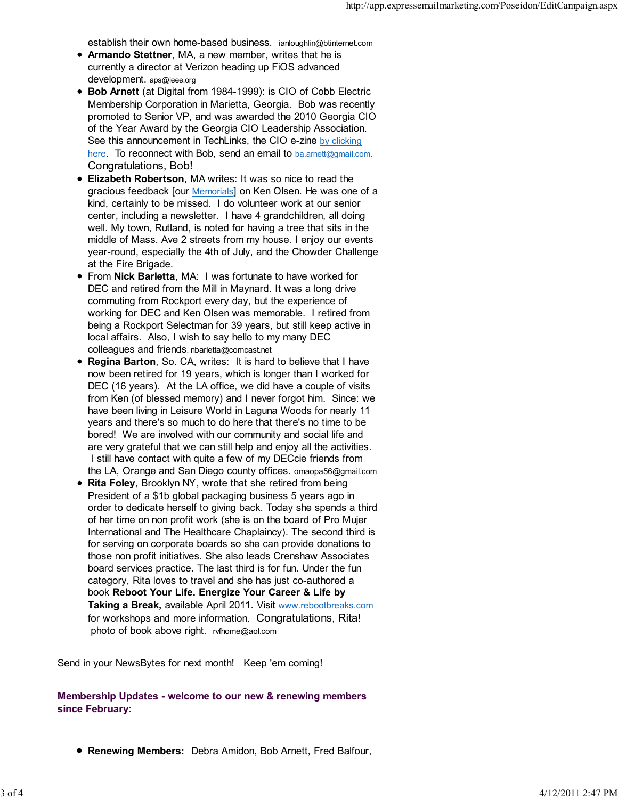establish their own home-based business. ianloughlin@btinternet.com

- Armando Stettner, MA, a new member, writes that he is currently a director at Verizon heading up FiOS advanced development. aps@ieee.org
- Bob Arnett (at Digital from 1984-1999): is CIO of Cobb Electric Membership Corporation in Marietta, Georgia. Bob was recently promoted to Senior VP, and was awarded the 2010 Georgia CIO of the Year Award by the Georgia CIO Leadership Association. See this announcement in TechLinks, the CIO e-zine by clicking here. To reconnect with Bob, send an email to ba.amett@gmail.com. Congratulations, Bob!
- Elizabeth Robertson, MA writes: It was so nice to read the gracious feedback [our Memorials] on Ken Olsen. He was one of a kind, certainly to be missed. I do volunteer work at our senior center, including a newsletter. I have 4 grandchildren, all doing well. My town, Rutland, is noted for having a tree that sits in the middle of Mass. Ave 2 streets from my house. I enjoy our events year-round, especially the 4th of July, and the Chowder Challenge at the Fire Brigade.
- From Nick Barletta, MA: I was fortunate to have worked for DEC and retired from the Mill in Maynard. It was a long drive commuting from Rockport every day, but the experience of working for DEC and Ken Olsen was memorable. I retired from being a Rockport Selectman for 39 years, but still keep active in local affairs. Also, I wish to say hello to my many DEC colleagues and friends. nbarletta@comcast.net
- Regina Barton, So. CA, writes: It is hard to believe that I have now been retired for 19 years, which is longer than I worked for DEC (16 years). At the LA office, we did have a couple of visits from Ken (of blessed memory) and I never forgot him. Since: we have been living in Leisure World in Laguna Woods for nearly 11 years and there's so much to do here that there's no time to be bored! We are involved with our community and social life and are very grateful that we can still help and enjoy all the activities. I still have contact with quite a few of my DECcie friends from the LA, Orange and San Diego county offices. omaopa56@gmail.com
- Rita Foley, Brooklyn NY, wrote that she retired from being President of a \$1b global packaging business 5 years ago in order to dedicate herself to giving back. Today she spends a third of her time on non profit work (she is on the board of Pro Mujer International and The Healthcare Chaplaincy). The second third is for serving on corporate boards so she can provide donations to those non profit initiatives. She also leads Crenshaw Associates board services practice. The last third is for fun. Under the fun category, Rita loves to travel and she has just co-authored a book Reboot Your Life. Energize Your Career & Life by Taking a Break, available April 2011. Visit www.rebootbreaks.com for workshops and more information. Congratulations, Rita! photo of book above right. rvfhome@aol.com

Send in your NewsBytes for next month! Keep 'em coming!

## Membership Updates - welcome to our new & renewing members since February:

Renewing Members: Debra Amidon, Bob Arnett, Fred Balfour,